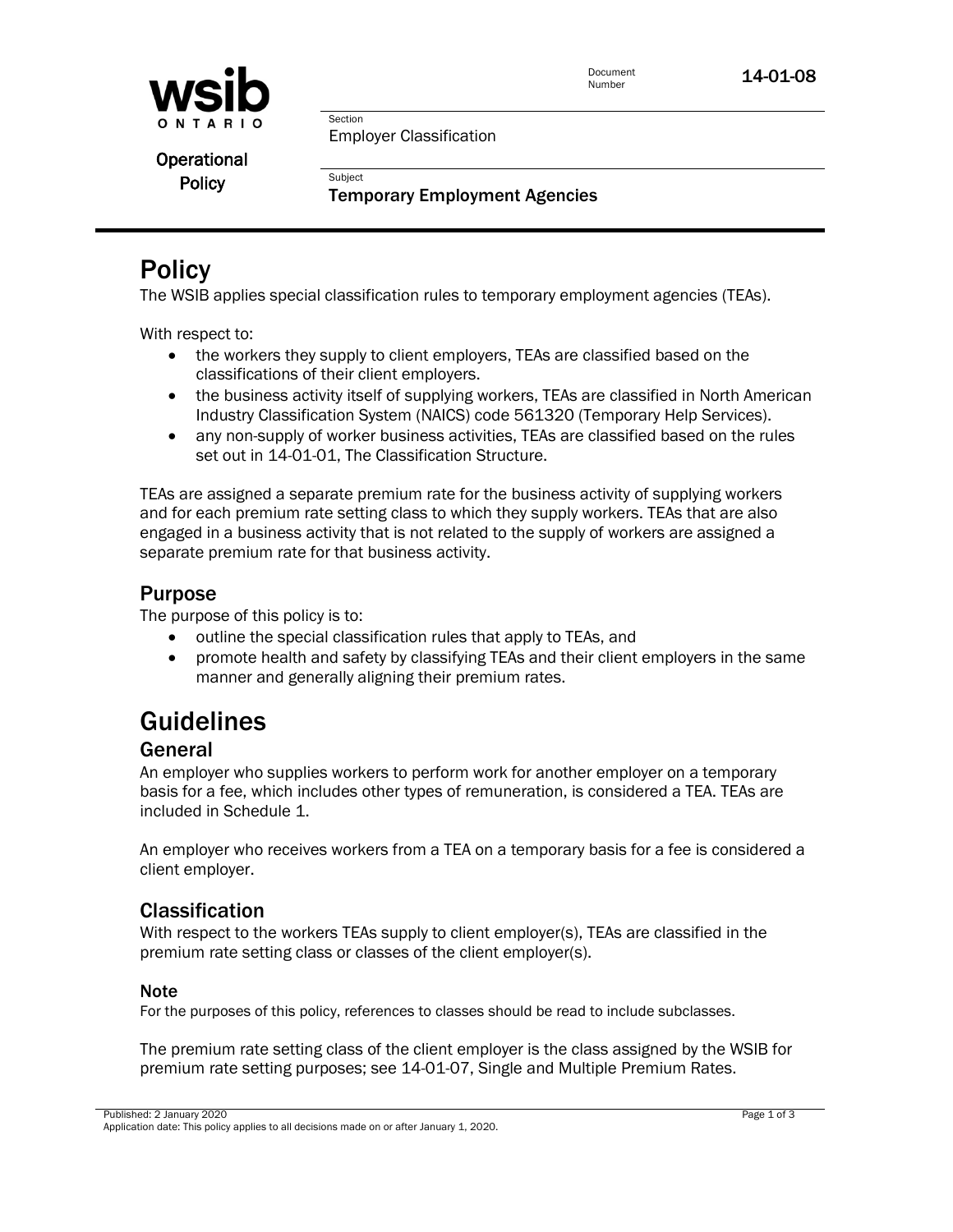

Document<br>Number

Employer Classification

Section

Subject

Operational **Policy** 

Temporary Employment Agencies

# **Policy**

The WSIB applies special classification rules to temporary employment agencies (TEAs).

With respect to:

- the workers they supply to client employers, TEAs are classified based on the classifications of their client employers.
- the business activity itself of supplying workers, TEAs are classified in North American Industry Classification System (NAICS) code 561320 (Temporary Help Services).
- any non-supply of worker business activities, TEAs are classified based on the rules set out in 14-01-01, The Classification Structure.

TEAs are assigned a separate premium rate for the business activity of supplying workers and for each premium rate setting class to which they supply workers. TEAs that are also engaged in a business activity that is not related to the supply of workers are assigned a separate premium rate for that business activity.

# Purpose

The purpose of this policy is to:

- outline the special classification rules that apply to TEAs, and
- promote health and safety by classifying TEAs and their client employers in the same manner and generally aligning their premium rates.

# Guidelines

# General

An employer who supplies workers to perform work for another employer on a temporary basis for a fee, which includes other types of remuneration, is considered a TEA. TEAs are included in Schedule 1.

An employer who receives workers from a TEA on a temporary basis for a fee is considered a client employer.

# Classification

With respect to the workers TEAs supply to client employer(s), TEAs are classified in the premium rate setting class or classes of the client employer(s).

## **Note**

For the purposes of this policy, references to classes should be read to include subclasses.

The premium rate setting class of the client employer is the class assigned by the WSIB for premium rate setting purposes; see 14-01-07, Single and Multiple Premium Rates.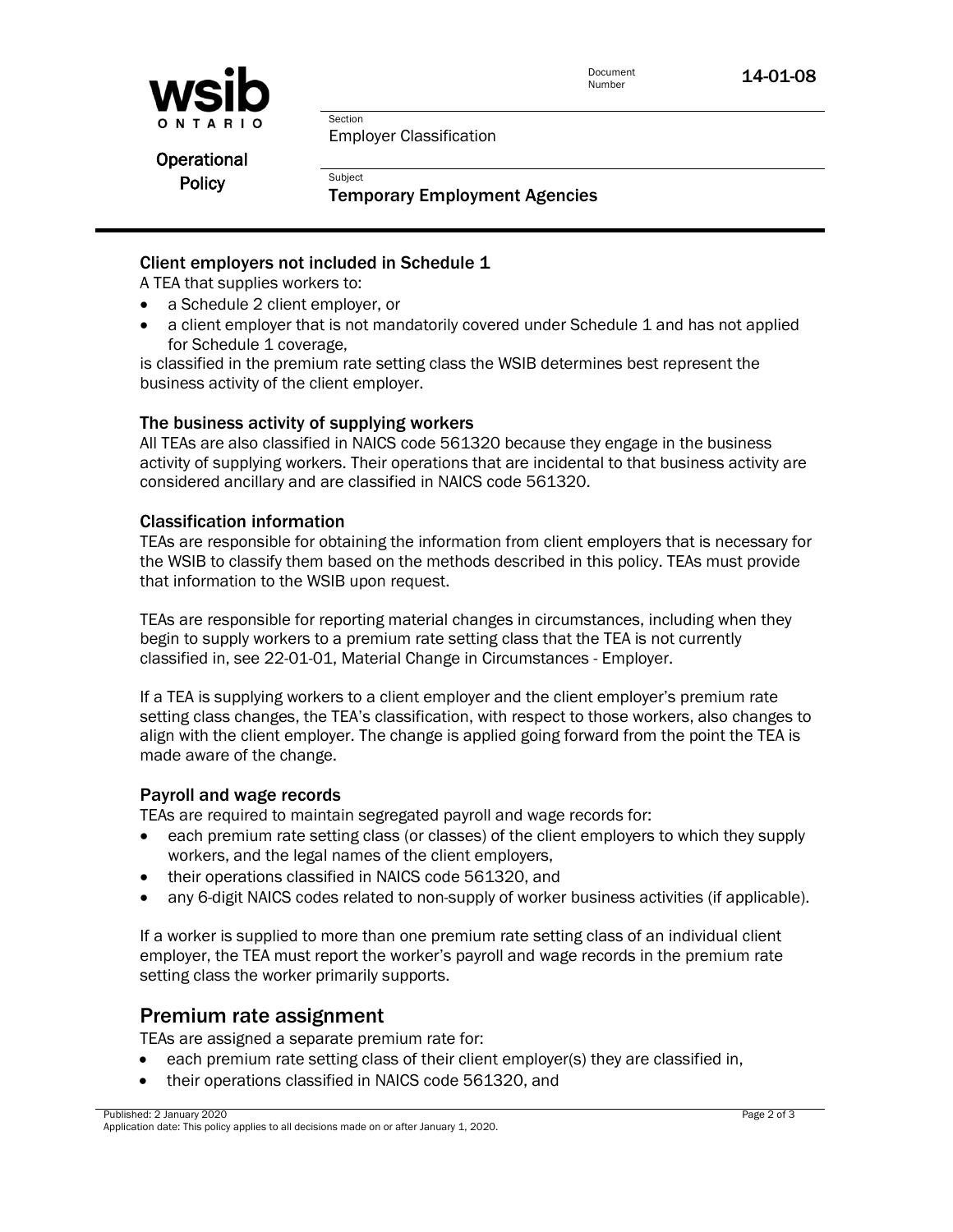

Document<br>Number

Employer Classification

Operational **Policy** 

Temporary Employment Agencies

#### Client employers not included in Schedule 1

Section

Subject

A TEA that supplies workers to:

- a Schedule 2 client employer, or
- a client employer that is not mandatorily covered under Schedule 1 and has not applied for Schedule 1 coverage,

is classified in the premium rate setting class the WSIB determines best represent the business activity of the client employer.

#### The business activity of supplying workers

All TEAs are also classified in NAICS code 561320 because they engage in the business activity of supplying workers. Their operations that are incidental to that business activity are considered ancillary and are classified in NAICS code 561320.

#### Classification information

TEAs are responsible for obtaining the information from client employers that is necessary for the WSIB to classify them based on the methods described in this policy. TEAs must provide that information to the WSIB upon request.

TEAs are responsible for reporting material changes in circumstances, including when they begin to supply workers to a premium rate setting class that the TEA is not currently classified in, see 22-01-01, Material Change in Circumstances - Employer.

If a TEA is supplying workers to a client employer and the client employer's premium rate setting class changes, the TEA's classification, with respect to those workers, also changes to align with the client employer. The change is applied going forward from the point the TEA is made aware of the change.

#### Payroll and wage records

TEAs are required to maintain segregated payroll and wage records for:

- each premium rate setting class (or classes) of the client employers to which they supply workers, and the legal names of the client employers,
- their operations classified in NAICS code 561320, and
- any 6-digit NAICS codes related to non-supply of worker business activities (if applicable).

If a worker is supplied to more than one premium rate setting class of an individual client employer, the TEA must report the worker's payroll and wage records in the premium rate setting class the worker primarily supports.

# Premium rate assignment

TEAs are assigned a separate premium rate for:

- each premium rate setting class of their client employer(s) they are classified in,
- their operations classified in NAICS code 561320, and

Published: 2 January 2020 Application date: This policy applies to all decisions made on or after January 1, 2020.